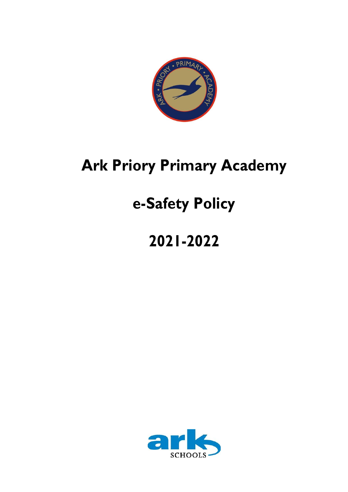

# **Ark Priory Primary Academy**

# **e-Safety Policy**

# **2021-2022**

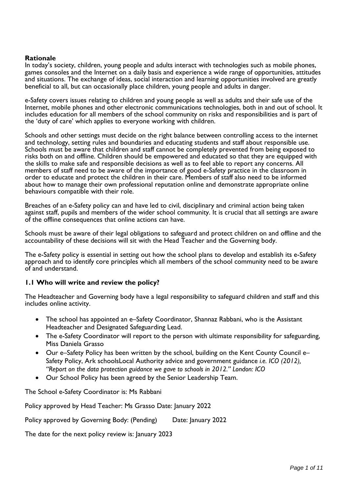#### **Rationale**

In today's society, children, young people and adults interact with technologies such as mobile phones, games consoles and the Internet on a daily basis and experience a wide range of opportunities, attitudes and situations. The exchange of ideas, social interaction and learning opportunities involved are greatly beneficial to all, but can occasionally place children, young people and adults in danger.

e-Safety covers issues relating to children and young people as well as adults and their safe use of the Internet, mobile phones and other electronic communications technologies, both in and out of school. It includes education for all members of the school community on risks and responsibilities and is part of the 'duty of care' which applies to everyone working with children.

Schools and other settings must decide on the right balance between controlling access to the internet and technology, setting rules and boundaries and educating students and staff about responsible use. Schools must be aware that children and staff cannot be completely prevented from being exposed to risks both on and offline. Children should be empowered and educated so that they are equipped with the skills to make safe and responsible decisions as well as to feel able to report any concerns. All members of staff need to be aware of the importance of good e-Safety practice in the classroom in order to educate and protect the children in their care. Members of staff also need to be informed about how to manage their own professional reputation online and demonstrate appropriate online behaviours compatible with their role.

Breaches of an e-Safety policy can and have led to civil, disciplinary and criminal action being taken against staff, pupils and members of the wider school community. It is crucial that all settings are aware of the offline consequences that online actions can have.

Schools must be aware of their legal obligations to safeguard and protect children on and offline and the accountability of these decisions will sit with the Head Teacher and the Governing body.

The e-Safety policy is essential in setting out how the school plans to develop and establish its e-Safety approach and to identify core principles which all members of the school community need to be aware of and understand.

#### **1.1 Who will write and review the policy?**

The Headteacher and Governing body have a legal responsibility to safeguard children and staff and this includes online activity.

- The school has appointed an e–Safety Coordinator, Shannaz Rabbani, who is the Assistant Headteacher and Designated Safeguarding Lead.
- The e-Safety Coordinator will report to the person with ultimate responsibility for safeguarding, Miss Daniela Grasso
- Our e–Safety Policy has been written by the school, building on the Kent County Council e– Safety Policy, Ark schoolsLocal Authority advice and government guidance *i.e. ICO (2012), "Report on the data protection guidance we gave to schools in 2012." London: ICO*
- Our School Policy has been agreed by the Senior Leadership Team.

The School e-Safety Coordinator is: Ms Rabbani

Policy approved by Head Teacher: Ms Grasso Date: January 2022

Policy approved by Governing Body: (Pending) Date: January 2022

The date for the next policy review is: January 2023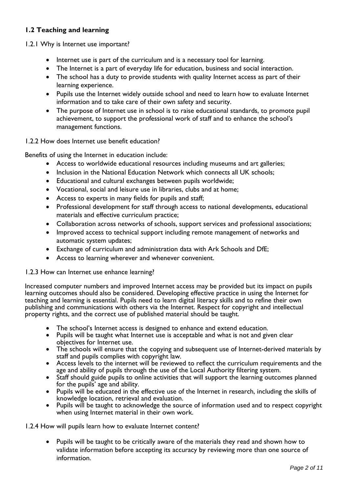# **1.2 Teaching and learning**

1.2.1 Why is Internet use important?

- Internet use is part of the curriculum and is a necessary tool for learning.
- The Internet is a part of everyday life for education, business and social interaction.
- The school has a duty to provide students with quality Internet access as part of their learning experience.
- Pupils use the Internet widely outside school and need to learn how to evaluate Internet information and to take care of their own safety and security.
- The purpose of Internet use in school is to raise educational standards, to promote pupil achievement, to support the professional work of staff and to enhance the school's management functions.

1.2.2 How does Internet use benefit education?

Benefits of using the Internet in education include:

- Access to worldwide educational resources including museums and art galleries;
- Inclusion in the National Education Network which connects all UK schools:
- Educational and cultural exchanges between pupils worldwide;
- Vocational, social and leisure use in libraries, clubs and at home;
- Access to experts in many fields for pupils and staff;
- Professional development for staff through access to national developments, educational materials and effective curriculum practice;
- Collaboration across networks of schools, support services and professional associations;
- Improved access to technical support including remote management of networks and automatic system updates;
- Exchange of curriculum and administration data with Ark Schools and DfE;
- Access to learning wherever and whenever convenient.

#### 1.2.3 How can Internet use enhance learning?

Increased computer numbers and improved Internet access may be provided but its impact on pupils learning outcomes should also be considered. Developing effective practice in using the Internet for teaching and learning is essential. Pupils need to learn digital literacy skills and to refine their own publishing and communications with others via the Internet. Respect for copyright and intellectual property rights, and the correct use of published material should be taught.

- The school's Internet access is designed to enhance and extend education.
- Pupils will be taught what Internet use is acceptable and what is not and given clear objectives for Internet use.
- The schools will ensure that the copying and subsequent use of Internet-derived materials by staff and pupils complies with copyright law.
- Access levels to the internet will be reviewed to reflect the curriculum requirements and the age and ability of pupils through the use of the Local Authority filtering system.
- Staff should guide pupils to online activities that will support the learning outcomes planned for the pupils' age and ability.
- Pupils will be educated in the effective use of the Internet in research, including the skills of knowledge location, retrieval and evaluation.
- Pupils will be taught to acknowledge the source of information used and to respect copyright when using Internet material in their own work.

1.2.4 How will pupils learn how to evaluate Internet content?

• Pupils will be taught to be critically aware of the materials they read and shown how to validate information before accepting its accuracy by reviewing more than one source of information.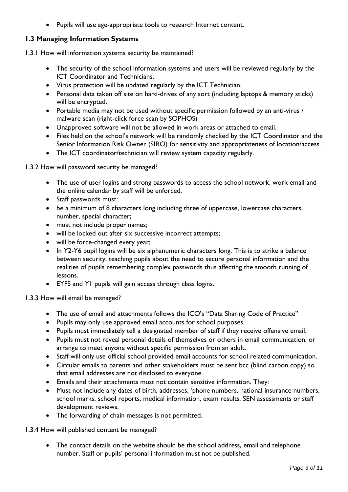• Pupils will use age-appropriate tools to research Internet content.

## **1.3 Managing Information Systems**

1.3.1 How will information systems security be maintained?

- The security of the school information systems and users will be reviewed regularly by the ICT Coordinator and Technicians.
- Virus protection will be updated regularly by the ICT Technician.
- Personal data taken off site on hard-drives of any sort (including laptops & memory sticks) will be encrypted.
- Portable media may not be used without specific permission followed by an anti-virus / malware scan (right-click force scan by SOPHOS)
- Unapproved software will not be allowed in work areas or attached to email.
- Files held on the school's network will be randomly checked by the ICT Coordinator and the Senior Information Risk Owner (SIRO) for sensitivity and appropriateness of location/access.
- The ICT coordinator/technician will review system capacity regularly.

1.3.2 How will password security be managed?

- The use of user logins and strong passwords to access the school network, work email and the online calendar by staff will be enforced.
- Staff passwords must:
- be a minimum of 8 characters long including three of uppercase, lowercase characters, number, special character;
- must not include proper names;
- will be locked out after six successive incorrect attempts;
- will be force-changed every year;
- In Y2-Y6 pupil logins will be six alphanumeric characters long. This is to strike a balance between security, teaching pupils about the need to secure personal information and the realities of pupils remembering complex passwords thus affecting the smooth running of lessons.
- EYFS and Y1 pupils will gain access through class logins.

1.3.3 How will email be managed?

- The use of email and attachments follows the ICO's "Data Sharing Code of Practice"
- Pupils may only use approved email accounts for school purposes.
- Pupils must immediately tell a designated member of staff if they receive offensive email.
- Pupils must not reveal personal details of themselves or others in email communication, or arrange to meet anyone without specific permission from an adult.
- Staff will only use official school provided email accounts for school related communication.
- Circular emails to parents and other stakeholders must be sent bcc (blind carbon copy) so that email addresses are not disclosed to everyone.
- Emails and their attachments must not contain sensitive information. They:
- Must not include any dates of birth, addresses, 'phone numbers, national insurance numbers, school marks, school reports, medical information, exam results, SEN assessments or staff development reviews.
- The forwarding of chain messages is not permitted.

1.3.4 How will published content be managed?

• The contact details on the website should be the school address, email and telephone number. Staff or pupils' personal information must not be published.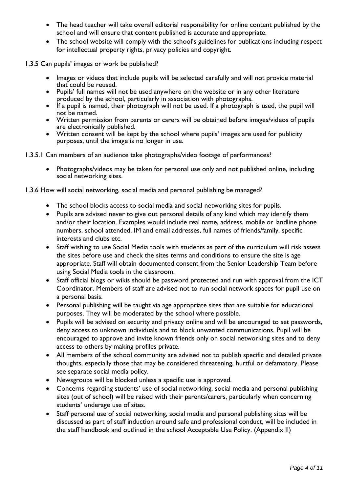- The head teacher will take overall editorial responsibility for online content published by the school and will ensure that content published is accurate and appropriate.
- The school website will comply with the school's guidelines for publications including respect for intellectual property rights, privacy policies and copyright.

1.3.5 Can pupils' images or work be published?

- Images or videos that include pupils will be selected carefully and will not provide material that could be reused.
- Pupils' full names will not be used anywhere on the website or in any other literature produced by the school, particularly in association with photographs.
- If a pupil is named, their photograph will not be used. If a photograph is used, the pupil will not be named.
- Written permission from parents or carers will be obtained before images/videos of pupils are electronically published.
- Written consent will be kept by the school where pupils' images are used for publicity purposes, until the image is no longer in use.
- 1.3.5.1 Can members of an audience take photographs/video footage of performances?
	- Photographs/videos may be taken for personal use only and not published online, including social networking sites.
- 1.3.6 How will social networking, social media and personal publishing be managed?
	- The school blocks access to social media and social networking sites for pupils.
	- Pupils are advised never to give out personal details of any kind which may identify them and/or their location. Examples would include real name, address, mobile or landline phone numbers, school attended, IM and email addresses, full names of friends/family, specific interests and clubs etc.
	- Staff wishing to use Social Media tools with students as part of the curriculum will risk assess the sites before use and check the sites terms and conditions to ensure the site is age appropriate. Staff will obtain documented consent from the Senior Leadership Team before using Social Media tools in the classroom.
	- Staff official blogs or wikis should be password protected and run with approval from the ICT Coordinator. Members of staff are advised not to run social network spaces for pupil use on a personal basis.
	- Personal publishing will be taught via age appropriate sites that are suitable for educational purposes. They will be moderated by the school where possible.
	- Pupils will be advised on security and privacy online and will be encouraged to set passwords, deny access to unknown individuals and to block unwanted communications. Pupil will be encouraged to approve and invite known friends only on social networking sites and to deny access to others by making profiles private.
	- All members of the school community are advised not to publish specific and detailed private thoughts, especially those that may be considered threatening, hurtful or defamatory. Please see separate social media policy.
	- Newsgroups will be blocked unless a specific use is approved.
	- Concerns regarding students' use of social networking, social media and personal publishing sites (out of school) will be raised with their parents/carers, particularly when concerning students' underage use of sites.
	- Staff personal use of social networking, social media and personal publishing sites will be discussed as part of staff induction around safe and professional conduct, will be included in the staff handbook and outlined in the school Acceptable Use Policy. (Appendix II)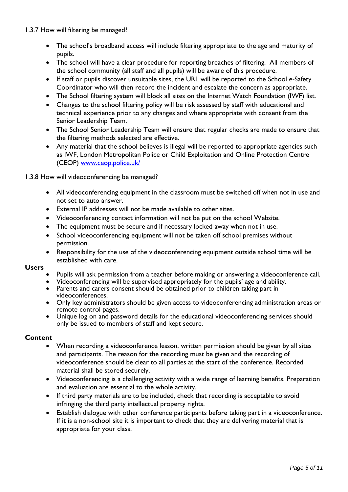1.3.7 How will filtering be managed?

- The school's broadband access will include filtering appropriate to the age and maturity of pupils.
- The school will have a clear procedure for reporting breaches of filtering. All members of the school community (all staff and all pupils) will be aware of this procedure.
- If staff or pupils discover unsuitable sites, the URL will be reported to the School e-Safety Coordinator who will then record the incident and escalate the concern as appropriate.
- The School filtering system will block all sites on the Internet Watch Foundation (IWF) list.
- Changes to the school filtering policy will be risk assessed by staff with educational and technical experience prior to any changes and where appropriate with consent from the Senior Leadership Team.
- The School Senior Leadership Team will ensure that regular checks are made to ensure that the filtering methods selected are effective.
- Any material that the school believes is illegal will be reported to appropriate agencies such as IWF, London Metropolitan Police or Child Exploitation and Online Protection Centre (CEOP) [www.ceop.police.uk/](http://www.ceop.police.uk/)

1.3.8 How will videoconferencing be managed?

- All videoconferencing equipment in the classroom must be switched off when not in use and not set to auto answer.
- External IP addresses will not be made available to other sites.
- Videoconferencing contact information will not be put on the school Website.
- The equipment must be secure and if necessary locked away when not in use.
- School videoconferencing equipment will not be taken off school premises without permission.
- Responsibility for the use of the videoconferencing equipment outside school time will be established with care.

#### **Users**

- Pupils will ask permission from a teacher before making or answering a videoconference call.
- Videoconferencing will be supervised appropriately for the pupils' age and ability.
- Parents and carers consent should be obtained prior to children taking part in videoconferences.
- Only key administrators should be given access to videoconferencing administration areas or remote control pages.
- Unique log on and password details for the educational videoconferencing services should only be issued to members of staff and kept secure.

### **Content**

- When recording a videoconference lesson, written permission should be given by all sites and participants. The reason for the recording must be given and the recording of videoconference should be clear to all parties at the start of the conference. Recorded material shall be stored securely.
- Videoconferencing is a challenging activity with a wide range of learning benefits. Preparation and evaluation are essential to the whole activity.
- If third party materials are to be included, check that recording is acceptable to avoid infringing the third party intellectual property rights.
- Establish dialogue with other conference participants before taking part in a videoconference. If it is a non-school site it is important to check that they are delivering material that is appropriate for your class.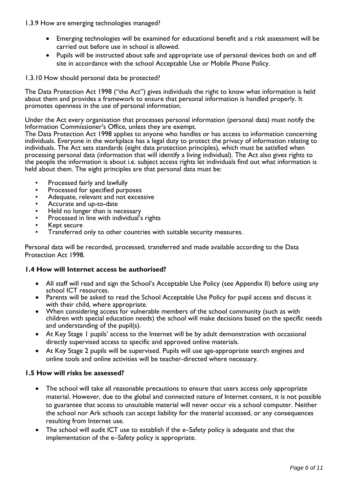1.3.9 How are emerging technologies managed?

- Emerging technologies will be examined for educational benefit and a risk assessment will be carried out before use in school is allowed.
- Pupils will be instructed about safe and appropriate use of personal devices both on and off site in accordance with the school Acceptable Use or Mobile Phone Policy.

#### 1.3.10 How should personal data be protected?

The Data Protection Act 1998 ("the Act") gives individuals the right to know what information is held about them and provides a framework to ensure that personal information is handled properly. It promotes openness in the use of personal information.

Under the Act every organisation that processes personal information (personal data) must notify the Information Commissioner's Office, unless they are exempt.

The Data Protection Act 1998 applies to anyone who handles or has access to information concerning individuals. Everyone in the workplace has a legal duty to protect the privacy of information relating to individuals. The Act sets standards (eight data protection principles), which must be satisfied when processing personal data (information that will identify a living individual). The Act also gives rights to the people the information is about i.e. subject access rights let individuals find out what information is held about them. The eight principles are that personal data must be:

- Processed fairly and lawfully
- Processed for specified purposes
- Adequate, relevant and not excessive
- Accurate and up-to-date
- Held no longer than is necessary
- Processed in line with individual's rights
- Kept secure
- Transferred only to other countries with suitable security measures.

Personal data will be recorded, processed, transferred and made available according to the Data Protection Act 1998.

#### **1.4 How will Internet access be authorised?**

- All staff will read and sign the School's Acceptable Use Policy (see Appendix II) before using any school ICT resources.
- Parents will be asked to read the School Acceptable Use Policy for pupil access and discuss it with their child, where appropriate.
- When considering access for vulnerable members of the school community (such as with children with special education needs) the school will make decisions based on the specific needs and understanding of the pupil(s).
- At Key Stage 1 pupils' access to the Internet will be by adult demonstration with occasional directly supervised access to specific and approved online materials.
- At Key Stage 2 pupils will be supervised. Pupils will use age-appropriate search engines and online tools and online activities will be teacher-directed where necessary.

#### **1.5 How will risks be assessed?**

- The school will take all reasonable precautions to ensure that users access only appropriate material. However, due to the global and connected nature of Internet content, it is not possible to guarantee that access to unsuitable material will never occur via a school computer. Neither the school nor Ark schools can accept liability for the material accessed, or any consequences resulting from Internet use.
- The school will audit ICT use to establish if the e–Safety policy is adequate and that the implementation of the e–Safety policy is appropriate.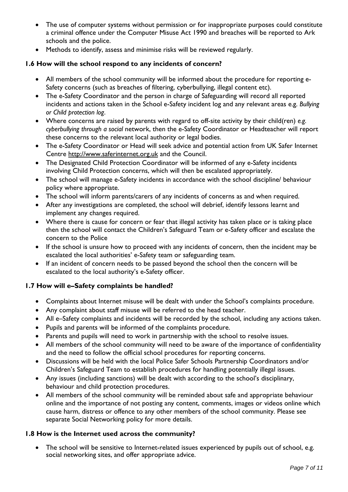- The use of computer systems without permission or for inappropriate purposes could constitute a criminal offence under the Computer Misuse Act 1990 and breaches will be reported to Ark schools and the police.
- Methods to identify, assess and minimise risks will be reviewed regularly.

## **1.6 How will the school respond to any incidents of concern?**

- All members of the school community will be informed about the procedure for reporting e-Safety concerns (such as breaches of filtering, cyberbullying, illegal content etc).
- The e-Safety Coordinator and the person in charge of Safeguarding will record all reported incidents and actions taken in the School e-Safety incident log and any relevant areas e.g. *Bullying or Child protection log*.
- Where concerns are raised by parents with regard to off-site activity by their child(ren) *e.g. cyberbullying through a social* network, then the e-Safety Coordinator or Headteacher will report these concerns to the relevant local authority or legal bodies.
- The e-Safety Coordinator or Head will seek advice and potential action from UK Safer Internet Centre [http://www.saferinternet.org.uk](http://www.saferinternet.org.uk/) and the Council.
- The Designated Child Protection Coordinator will be informed of any e-Safety incidents involving Child Protection concerns, which will then be escalated appropriately.
- The school will manage e-Safety incidents in accordance with the school discipline/ behaviour policy where appropriate.
- The school will inform parents/carers of any incidents of concerns as and when required.
- After any investigations are completed, the school will debrief, identify lessons learnt and implement any changes required.
- Where there is cause for concern or fear that illegal activity has taken place or is taking place then the school will contact the Children's Safeguard Team or e-Safety officer and escalate the concern to the Police
- If the school is unsure how to proceed with any incidents of concern, then the incident may be escalated the local authorities' e-Safety team or safeguarding team.
- If an incident of concern needs to be passed beyond the school then the concern will be escalated to the local authority's e-Safety officer.

# **1.7 How will e–Safety complaints be handled?**

- Complaints about Internet misuse will be dealt with under the School's complaints procedure.
- Any complaint about staff misuse will be referred to the head teacher.
- All e–Safety complaints and incidents will be recorded by the school, including any actions taken.
- Pupils and parents will be informed of the complaints procedure.
- Parents and pupils will need to work in partnership with the school to resolve issues.
- All members of the school community will need to be aware of the importance of confidentiality and the need to follow the official school procedures for reporting concerns.
- Discussions will be held with the local Police Safer Schools Partnership Coordinators and/or Children's Safeguard Team to establish procedures for handling potentially illegal issues.
- Any issues (including sanctions) will be dealt with according to the school's disciplinary, behaviour and child protection procedures.
- All members of the school community will be reminded about safe and appropriate behaviour online and the importance of not posting any content, comments, images or videos online which cause harm, distress or offence to any other members of the school community. Please see separate Social Networking policy for more details.

### **1.8 How is the Internet used across the community?**

• The school will be sensitive to Internet-related issues experienced by pupils out of school, e.g. social networking sites, and offer appropriate advice.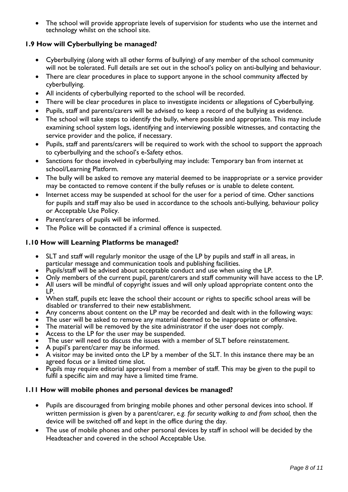• The school will provide appropriate levels of supervision for students who use the internet and technology whilst on the school site.

## **1.9 How will Cyberbullying be managed?**

- Cyberbullying (along with all other forms of bullying) of any member of the school community will not be tolerated. Full details are set out in the school's policy on anti-bullying and behaviour.
- There are clear procedures in place to support anyone in the school community affected by cyberbullying.
- All incidents of cyberbullying reported to the school will be recorded.
- There will be clear procedures in place to investigate incidents or allegations of Cyberbullying.
- Pupils, staff and parents/carers will be advised to keep a record of the bullying as evidence.
- The school will take steps to identify the bully, where possible and appropriate. This may include examining school system logs, identifying and interviewing possible witnesses, and contacting the service provider and the police, if necessary.
- Pupils, staff and parents/carers will be required to work with the school to support the approach to cyberbullying and the school's e-Safety ethos.
- Sanctions for those involved in cyberbullying may include: Temporary ban from internet at school/Learning Platform.
- The bully will be asked to remove any material deemed to be inappropriate or a service provider may be contacted to remove content if the bully refuses or is unable to delete content.
- Internet access may be suspended at school for the user for a period of time. Other sanctions for pupils and staff may also be used in accordance to the schools anti-bullying, behaviour policy or Acceptable Use Policy.
- Parent/carers of pupils will be informed.
- The Police will be contacted if a criminal offence is suspected.

## **1.10 How will Learning Platforms be managed?**

- SLT and staff will regularly monitor the usage of the LP by pupils and staff in all areas, in particular message and communication tools and publishing facilities.
- Pupils/staff will be advised about acceptable conduct and use when using the LP.
- Only members of the current pupil, parent/carers and staff community will have access to the LP.
- All users will be mindful of copyright issues and will only upload appropriate content onto the LP.
- When staff, pupils etc leave the school their account or rights to specific school areas will be disabled or transferred to their new establishment.
- Any concerns about content on the LP may be recorded and dealt with in the following ways:
- The user will be asked to remove any material deemed to be inappropriate or offensive.
- The material will be removed by the site administrator if the user does not comply.
- Access to the LP for the user may be suspended.
- The user will need to discuss the issues with a member of SLT before reinstatement.
- A pupil's parent/carer may be informed.
- A visitor may be invited onto the LP by a member of the SLT. In this instance there may be an agreed focus or a limited time slot.
- Pupils may require editorial approval from a member of staff. This may be given to the pupil to fulfil a specific aim and may have a limited time frame.

### **1.11 How will mobile phones and personal devices be managed?**

- Pupils are discouraged from bringing mobile phones and other personal devices into school. If written permission is given by a parent/carer, *e.g. for security walking to and from school,* then the device will be switched off and kept in the office during the day.
- The use of mobile phones and other personal devices by staff in school will be decided by the Headteacher and covered in the school Acceptable Use.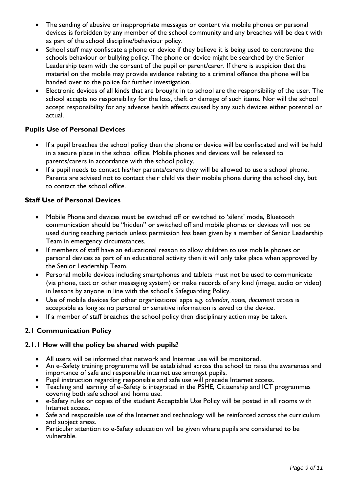- The sending of abusive or inappropriate messages or content via mobile phones or personal devices is forbidden by any member of the school community and any breaches will be dealt with as part of the school discipline/behaviour policy.
- School staff may confiscate a phone or device if they believe it is being used to contravene the schools behaviour or bullying policy. The phone or device might be searched by the Senior Leadership team with the consent of the pupil or parent/carer. If there is suspicion that the material on the mobile may provide evidence relating to a criminal offence the phone will be handed over to the police for further investigation.
- Electronic devices of all kinds that are brought in to school are the responsibility of the user. The school accepts no responsibility for the loss, theft or damage of such items. Nor will the school accept responsibility for any adverse health effects caused by any such devices either potential or actual.

## **Pupils Use of Personal Devices**

- If a pupil breaches the school policy then the phone or device will be confiscated and will be held in a secure place in the school office. Mobile phones and devices will be released to parents/carers in accordance with the school policy.
- If a pupil needs to contact his/her parents/carers they will be allowed to use a school phone. Parents are advised not to contact their child via their mobile phone during the school day, but to contact the school office.

## **Staff Use of Personal Devices**

- Mobile Phone and devices must be switched off or switched to 'silent' mode, Bluetooth communication should be "hidden" or switched off and mobile phones or devices will not be used during teaching periods unless permission has been given by a member of Senior Leadership Team in emergency circumstances.
- If members of staff have an educational reason to allow children to use mobile phones or personal devices as part of an educational activity then it will only take place when approved by the Senior Leadership Team.
- Personal mobile devices including smartphones and tablets must not be used to communicate (via phone, text or other messaging system) or make records of any kind (image, audio or video) in lessons by anyone in line with the school's Safeguarding Policy.
- Use of mobile devices for other organisational apps e*.g. calendar, notes, document access* is acceptable as long as no personal or sensitive information is saved to the device.
- If a member of staff breaches the school policy then disciplinary action may be taken.

### **2.1 Communication Policy**

### **2.1.1 How will the policy be shared with pupils?**

- All users will be informed that network and Internet use will be monitored.
- An e–Safety training programme will be established across the school to raise the awareness and importance of safe and responsible internet use amongst pupils.
- Pupil instruction regarding responsible and safe use will precede Internet access.
- Teaching and learning of e–Safety is integrated in the PSHE, Citizenship and ICT programmes covering both safe school and home use.
- e-Safety rules or copies of the student Acceptable Use Policy will be posted in all rooms with Internet access.
- Safe and responsible use of the Internet and technology will be reinforced across the curriculum and subject areas.
- Particular attention to e-Safety education will be given where pupils are considered to be vulnerable.